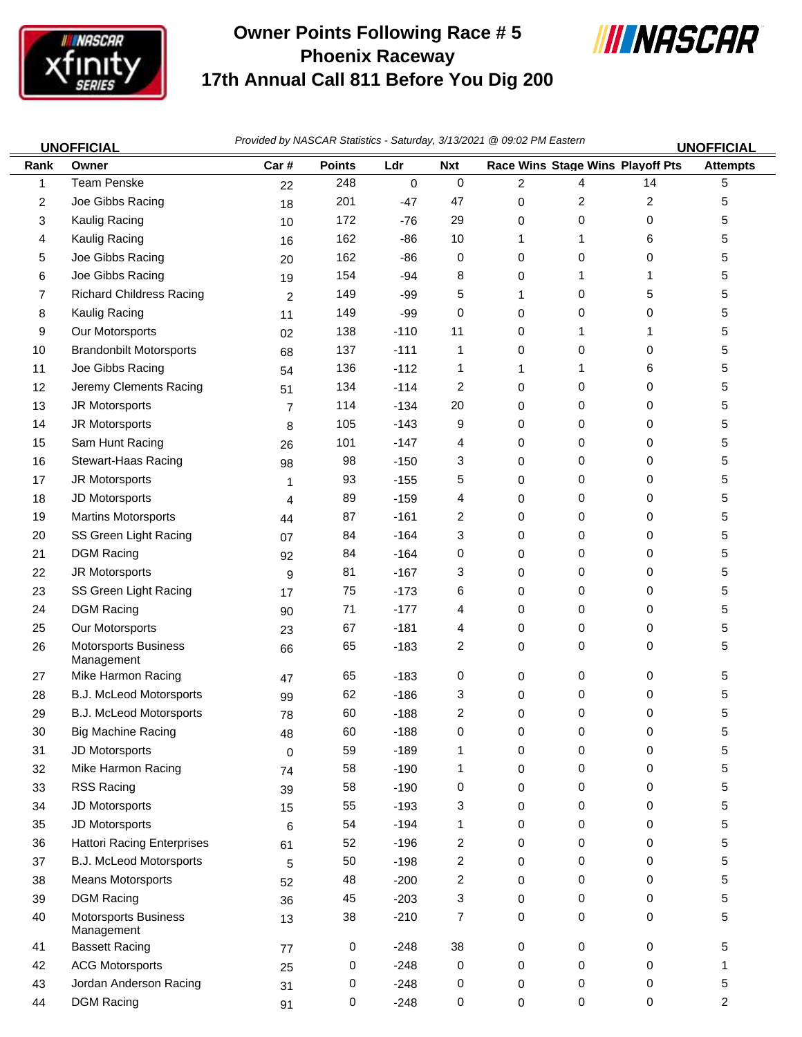

## **Owner Points Following Race # 5 Phoenix Raceway 17th Annual Call 811 Before You Dig 200**



| <b>UNOFFICIAL</b> |                                           | Provided by NASCAR Statistics - Saturday, 3/13/2021 @ 09:02 PM Eastern<br><b>UNOFFICIAL</b> |               |           |                         |                |                                  |    |                 |
|-------------------|-------------------------------------------|---------------------------------------------------------------------------------------------|---------------|-----------|-------------------------|----------------|----------------------------------|----|-----------------|
| Rank              | Owner                                     | Car#                                                                                        | <b>Points</b> | Ldr       | <b>Nxt</b>              |                | Race Wins Stage Wins Playoff Pts |    | <b>Attempts</b> |
| 1                 | <b>Team Penske</b>                        | 22                                                                                          | 248           | $\pmb{0}$ | 0                       | $\overline{2}$ | 4                                | 14 | 5               |
| 2                 | Joe Gibbs Racing                          | 18                                                                                          | 201           | $-47$     | 47                      | 0              | 2                                | 2  | 5               |
| 3                 | Kaulig Racing                             | 10                                                                                          | 172           | $-76$     | 29                      | 0              | 0                                | 0  | 5               |
| 4                 | Kaulig Racing                             | 16                                                                                          | 162           | $-86$     | 10                      | 1              | 1                                | 6  | 5               |
| 5                 | Joe Gibbs Racing                          | 20                                                                                          | 162           | $-86$     | 0                       | 0              | 0                                | 0  | 5               |
| 6                 | Joe Gibbs Racing                          | 19                                                                                          | 154           | $-94$     | 8                       | 0              | 1                                | 1  | 5               |
| 7                 | <b>Richard Childress Racing</b>           | $\overline{c}$                                                                              | 149           | $-99$     | 5                       | 1              | 0                                | 5  | 5               |
| 8                 | Kaulig Racing                             | 11                                                                                          | 149           | $-99$     | 0                       | 0              | 0                                | 0  | 5               |
| 9                 | Our Motorsports                           | 02                                                                                          | 138           | $-110$    | 11                      | 0              | 1                                | 1  | 5               |
| 10                | <b>Brandonbilt Motorsports</b>            | 68                                                                                          | 137           | $-111$    | 1                       | 0              | 0                                | 0  | 5               |
| 11                | Joe Gibbs Racing                          | 54                                                                                          | 136           | $-112$    | 1                       | 1              | 1                                | 6  | 5               |
| 12                | Jeremy Clements Racing                    | 51                                                                                          | 134           | $-114$    | 2                       | 0              | 0                                | 0  | 5               |
| 13                | JR Motorsports                            | $\overline{7}$                                                                              | 114           | $-134$    | 20                      | 0              | 0                                | 0  | 5               |
| 14                | JR Motorsports                            | 8                                                                                           | 105           | $-143$    | 9                       | 0              | 0                                | 0  | 5               |
| 15                | Sam Hunt Racing                           | 26                                                                                          | 101           | $-147$    | 4                       | 0              | 0                                | 0  | 5               |
| 16                | Stewart-Haas Racing                       | 98                                                                                          | 98            | $-150$    | 3                       | 0              | 0                                | 0  | 5               |
| 17                | JR Motorsports                            | 1                                                                                           | 93            | $-155$    | 5                       | 0              | 0                                | 0  | 5               |
| 18                | JD Motorsports                            | 4                                                                                           | 89            | $-159$    | 4                       | 0              | 0                                | 0  | 5               |
| 19                | <b>Martins Motorsports</b>                | 44                                                                                          | 87            | $-161$    | 2                       | 0              | 0                                | 0  | 5               |
| 20                | SS Green Light Racing                     | 07                                                                                          | 84            | $-164$    | 3                       | 0              | 0                                | 0  | 5               |
| 21                | <b>DGM Racing</b>                         | 92                                                                                          | 84            | $-164$    | 0                       | 0              | 0                                | 0  | 5               |
| 22                | JR Motorsports                            | 9                                                                                           | 81            | $-167$    | 3                       | 0              | 0                                | 0  | 5               |
| 23                | SS Green Light Racing                     | 17                                                                                          | 75            | $-173$    | 6                       | 0              | 0                                | 0  | 5               |
| 24                | <b>DGM Racing</b>                         | 90                                                                                          | 71            | $-177$    | 4                       | 0              | 0                                | 0  | 5               |
| 25                | Our Motorsports                           | 23                                                                                          | 67            | $-181$    | 4                       | 0              | 0                                | 0  | 5               |
| 26                | Motorsports Business<br>Management        | 66                                                                                          | 65            | $-183$    | 2                       | 0              | 0                                | 0  | 5               |
| 27                | Mike Harmon Racing                        | 47                                                                                          | 65            | $-183$    | 0                       | 0              | 0                                | 0  | 5               |
| 28                | B.J. McLeod Motorsports                   | 99                                                                                          | 62            | $-186$    | 3                       | 0              | 0                                | 0  | 5               |
| 29                | <b>B.J. McLeod Motorsports</b>            | 78                                                                                          | 60            | $-188$    | 2                       | 0              | 0                                | 0  | 5               |
| 30                | <b>Big Machine Racing</b>                 | 48                                                                                          | 60            | $-188$    | 0                       | 0              | 0                                | 0  | 5               |
| 31                | JD Motorsports                            | 0                                                                                           | 59            | $-189$    | 1                       | 0              | 0                                | 0  | 5               |
| 32                | Mike Harmon Racing                        | 74                                                                                          | 58            | $-190$    | 1                       | 0              | 0                                | 0  | 5               |
| 33                | RSS Racing                                | 39                                                                                          | 58            | $-190$    | 0                       | 0              | 0                                | 0  | 5               |
| 34                | JD Motorsports                            | 15                                                                                          | 55            | $-193$    | 3                       | 0              | 0                                | 0  | 5               |
| 35                | JD Motorsports                            | 6                                                                                           | 54            | $-194$    | 1                       | 0              | 0                                | 0  | 5               |
| 36                | <b>Hattori Racing Enterprises</b>         | 61                                                                                          | 52            | $-196$    | 2                       | 0              | 0                                | 0  | 5               |
| 37                | B.J. McLeod Motorsports                   | 5                                                                                           | 50            | $-198$    | $\overline{\mathbf{c}}$ | 0              | 0                                | 0  | 5               |
| 38                | Means Motorsports                         | 52                                                                                          | 48            | $-200$    | 2                       | 0              | 0                                | 0  | 5               |
| 39                | <b>DGM Racing</b>                         | 36                                                                                          | 45            | $-203$    | 3                       | 0              | 0                                | 0  | 5               |
| 40                | <b>Motorsports Business</b><br>Management | 13                                                                                          | 38            | $-210$    | 7                       | 0              | 0                                | 0  | 5               |
| 41                | <b>Bassett Racing</b>                     | 77                                                                                          | 0             | $-248$    | 38                      | 0              | 0                                | 0  | 5               |
| 42                | <b>ACG Motorsports</b>                    | 25                                                                                          | 0             | $-248$    | 0                       | 0              | 0                                | 0  | 1               |
| 43                | Jordan Anderson Racing                    | 31                                                                                          | 0             | $-248$    | 0                       | $\pmb{0}$      | 0                                | 0  | 5               |

44 DGM Racing 91 0 -248 0 0 0 2